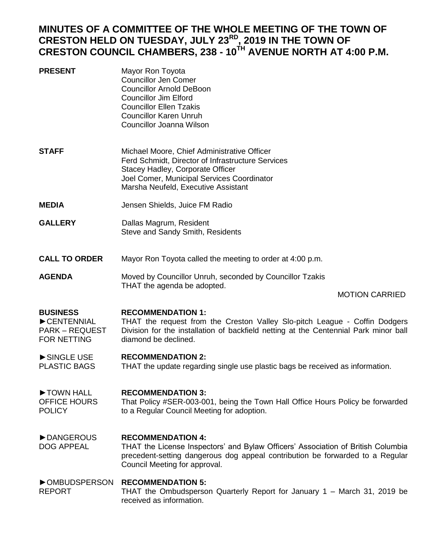# **MINUTES OF A COMMITTEE OF THE WHOLE MEETING OF THE TOWN OF CRESTON HELD ON TUESDAY, JULY 23RD, 2019 IN THE TOWN OF CRESTON COUNCIL CHAMBERS, 238 - 10TH AVENUE NORTH AT 4:00 P.M.**

| <b>PRESENT</b> | Mayor Ron Toyota<br>Councillor Jen Comer<br><b>Councillor Arnold DeBoon</b><br>Councillor Jim Elford<br>Councillor Ellen Tzakis<br>Councillor Karen Unruh                                                      |
|----------------|----------------------------------------------------------------------------------------------------------------------------------------------------------------------------------------------------------------|
| <b>STAFF</b>   | Councillor Joanna Wilson<br>Michael Moore, Chief Administrative Officer<br>Ferd Schmidt, Director of Infrastructure Services<br>Stacey Hadley, Corporate Officer<br>Joel Comer, Municipal Services Coordinator |
|                | Marsha Neufeld, Executive Assistant                                                                                                                                                                            |

- **MEDIA** Jensen Shields, Juice FM Radio
- **GALLERY** Dallas Magrum, Resident Steve and Sandy Smith, Residents

**CALL TO ORDER** Mayor Ron Toyota called the meeting to order at 4:00 p.m.

**AGENDA** Moved by Councillor Unruh, seconded by Councillor Tzakis THAT the agenda be adopted.

## MOTION CARRIED

### **BUSINESS RECOMMENDATION 1:**

►CENTENNIAL PARK – REQUEST FOR NETTING THAT the request from the Creston Valley Slo-pitch League - Coffin Dodgers Division for the installation of backfield netting at the Centennial Park minor ball diamond be declined.

#### ►SINGLE USE **RECOMMENDATION 2:**

PLASTIC BAGS THAT the update regarding single use plastic bags be received as information.

### ►TOWN HALL **RECOMMENDATION 3:**

OFFICE HOURS POLICY That Policy #SER-003-001, being the Town Hall Office Hours Policy be forwarded to a Regular Council Meeting for adoption.

#### ►DANGEROUS **RECOMMENDATION 4:**

DOG APPEAL THAT the License Inspectors' and Bylaw Officers' Association of British Columbia precedent-setting dangerous dog appeal contribution be forwarded to a Regular Council Meeting for approval.

## ►OMBUDSPERSON **RECOMMENDATION 5:**

REPORT THAT the Ombudsperson Quarterly Report for January 1 – March 31, 2019 be received as information.